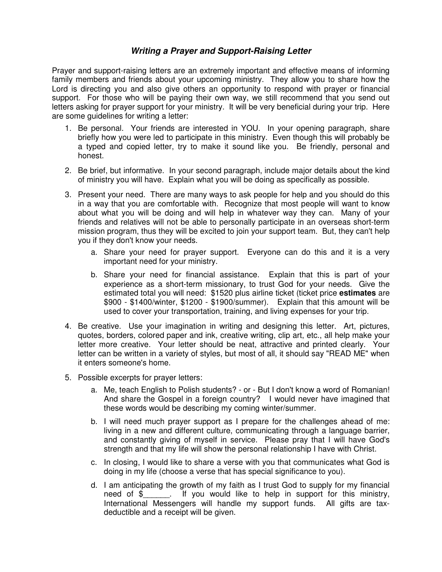## **Writing a Prayer and Support-Raising Letter**

Prayer and support-raising letters are an extremely important and effective means of informing family members and friends about your upcoming ministry. They allow you to share how the Lord is directing you and also give others an opportunity to respond with prayer or financial support. For those who will be paying their own way, we still recommend that you send out letters asking for prayer support for your ministry. It will be very beneficial during your trip. Here are some guidelines for writing a letter:

- 1. Be personal. Your friends are interested in YOU. In your opening paragraph, share briefly how you were led to participate in this ministry. Even though this will probably be a typed and copied letter, try to make it sound like you. Be friendly, personal and honest.
- 2. Be brief, but informative. In your second paragraph, include major details about the kind of ministry you will have. Explain what you will be doing as specifically as possible.
- 3. Present your need. There are many ways to ask people for help and you should do this in a way that you are comfortable with. Recognize that most people will want to know about what you will be doing and will help in whatever way they can. Many of your friends and relatives will not be able to personally participate in an overseas short-term mission program, thus they will be excited to join your support team. But, they can't help you if they don't know your needs.
	- a. Share your need for prayer support. Everyone can do this and it is a very important need for your ministry.
	- b. Share your need for financial assistance. Explain that this is part of your experience as a short-term missionary, to trust God for your needs. Give the estimated total you will need: \$1520 plus airline ticket (ticket price **estimates** are \$900 - \$1400/winter, \$1200 - \$1900/summer). Explain that this amount will be used to cover your transportation, training, and living expenses for your trip.
- 4. Be creative. Use your imagination in writing and designing this letter. Art, pictures, quotes, borders, colored paper and ink, creative writing, clip art, etc., all help make your letter more creative. Your letter should be neat, attractive and printed clearly. Your letter can be written in a variety of styles, but most of all, it should say "READ ME" when it enters someone's home.
- 5. Possible excerpts for prayer letters:
	- a. Me, teach English to Polish students? or But I don't know a word of Romanian! And share the Gospel in a foreign country? I would never have imagined that these words would be describing my coming winter/summer.
	- b. I will need much prayer support as I prepare for the challenges ahead of me: living in a new and different culture, communicating through a language barrier, and constantly giving of myself in service. Please pray that I will have God's strength and that my life will show the personal relationship I have with Christ.
	- c. In closing, I would like to share a verse with you that communicates what God is doing in my life (choose a verse that has special significance to you).
	- d. I am anticipating the growth of my faith as I trust God to supply for my financial need of \$\_\_\_\_\_\_. If you would like to help in support for this ministry, International Messengers will handle my support funds. All gifts are taxdeductible and a receipt will be given.